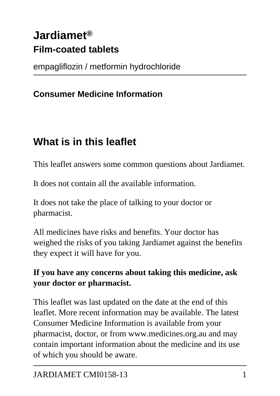# **Jardiamet® Film-coated tablets**

empagliflozin / metformin hydrochloride

#### **Consumer Medicine Information**

# **What is in this leaflet**

This leaflet answers some common questions about Jardiamet.

It does not contain all the available information.

It does not take the place of talking to your doctor or pharmacist.

All medicines have risks and benefits. Your doctor has weighed the risks of you taking Jardiamet against the benefits they expect it will have for you.

#### **If you have any concerns about taking this medicine, ask your doctor or pharmacist.**

This leaflet was last updated on the date at the end of this leaflet. More recent information may be available. The latest Consumer Medicine Information is available from your pharmacist, doctor, or from www.medicines.org.au and may contain important information about the medicine and its use of which you should be aware.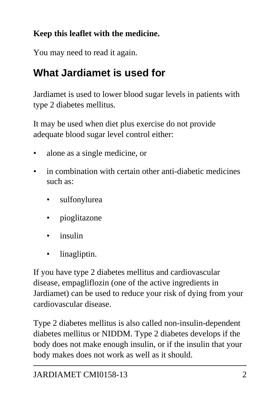### **Keep this leaflet with the medicine.**

You may need to read it again.

# **What Jardiamet is used for**

Jardiamet is used to lower blood sugar levels in patients with type 2 diabetes mellitus.

It may be used when diet plus exercise do not provide adequate blood sugar level control either:

- alone as a single medicine, or
- in combination with certain other anti-diabetic medicines such as:
	- sulfonylurea
	- pioglitazone
	- insulin
	- linagliptin.

If you have type 2 diabetes mellitus and cardiovascular disease, empagliflozin (one of the active ingredients in Jardiamet) can be used to reduce your risk of dying from your cardiovascular disease.

Type 2 diabetes mellitus is also called non-insulin-dependent diabetes mellitus or NIDDM. Type 2 diabetes develops if the body does not make enough insulin, or if the insulin that your body makes does not work as well as it should.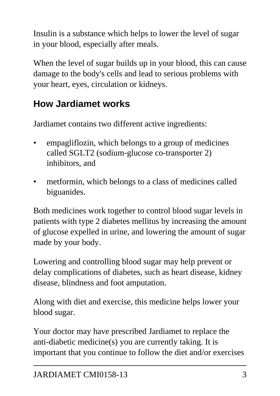Insulin is a substance which helps to lower the level of sugar in your blood, especially after meals.

When the level of sugar builds up in your blood, this can cause damage to the body's cells and lead to serious problems with your heart, eyes, circulation or kidneys.

## **How Jardiamet works**

Jardiamet contains two different active ingredients:

- empagliflozin, which belongs to a group of medicines called SGLT2 (sodium-glucose co-transporter 2) inhibitors, and
- metformin, which belongs to a class of medicines called biguanides.

Both medicines work together to control blood sugar levels in patients with type 2 diabetes mellitus by increasing the amount of glucose expelled in urine, and lowering the amount of sugar made by your body.

Lowering and controlling blood sugar may help prevent or delay complications of diabetes, such as heart disease, kidney disease, blindness and foot amputation.

Along with diet and exercise, this medicine helps lower your blood sugar.

Your doctor may have prescribed Jardiamet to replace the anti-diabetic medicine(s) you are currently taking. It is important that you continue to follow the diet and/or exercises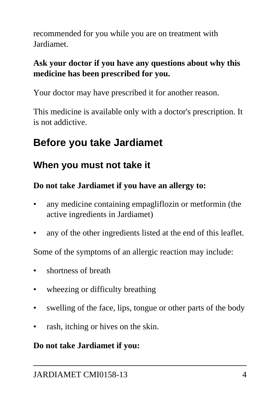recommended for you while you are on treatment with Jardiamet.

#### **Ask your doctor if you have any questions about why this medicine has been prescribed for you.**

Your doctor may have prescribed it for another reason.

This medicine is available only with a doctor's prescription. It is not addictive.

# **Before you take Jardiamet**

## **When you must not take it**

#### **Do not take Jardiamet if you have an allergy to:**

- any medicine containing empagliflozin or metformin (the active ingredients in Jardiamet)
- any of the other ingredients listed at the end of this leaflet.

Some of the symptoms of an allergic reaction may include:

- shortness of breath
- wheezing or difficulty breathing
- swelling of the face, lips, tongue or other parts of the body
- rash, itching or hives on the skin.

#### **Do not take Jardiamet if you:**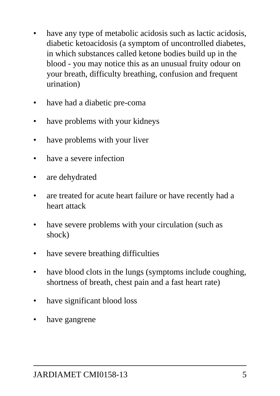- have any type of metabolic acidosis such as lactic acidosis, diabetic ketoacidosis (a symptom of uncontrolled diabetes, in which substances called ketone bodies build up in the blood - you may notice this as an unusual fruity odour on your breath, difficulty breathing, confusion and frequent urination)
- have had a diabetic pre-coma
- have problems with your kidneys
- have problems with your liver
- have a severe infection
- are dehydrated
- are treated for acute heart failure or have recently had a heart attack
- have severe problems with your circulation (such as shock)
- have severe breathing difficulties
- have blood clots in the lungs (symptoms include coughing, shortness of breath, chest pain and a fast heart rate)
- have significant blood loss
- have gangrene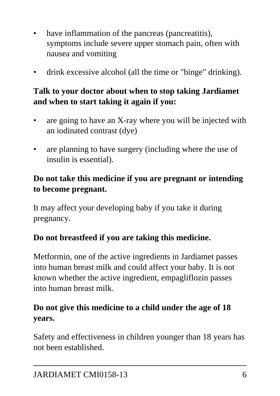- have inflammation of the pancreas (pancreatitis), symptoms include severe upper stomach pain, often with nausea and vomiting
- drink excessive alcohol (all the time or "binge" drinking).

#### **Talk to your doctor about when to stop taking Jardiamet and when to start taking it again if you:**

- are going to have an X-ray where you will be injected with an iodinated contrast (dye)
- are planning to have surgery (including where the use of insulin is essential).

#### **Do not take this medicine if you are pregnant or intending to become pregnant.**

It may affect your developing baby if you take it during pregnancy.

#### **Do not breastfeed if you are taking this medicine.**

Metformin, one of the active ingredients in Jardiamet passes into human breast milk and could affect your baby. It is not known whether the active ingredient, empagliflozin passes into human breast milk.

#### **Do not give this medicine to a child under the age of 18 years.**

Safety and effectiveness in children younger than 18 years has not been established.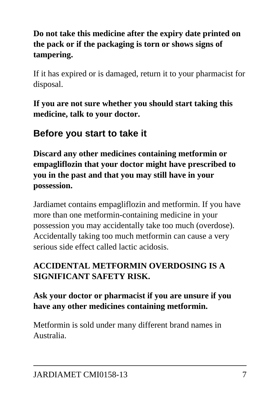#### **Do not take this medicine after the expiry date printed on the pack or if the packaging is torn or shows signs of tampering.**

If it has expired or is damaged, return it to your pharmacist for disposal.

**If you are not sure whether you should start taking this medicine, talk to your doctor.**

## **Before you start to take it**

**Discard any other medicines containing metformin or empagliflozin that your doctor might have prescribed to you in the past and that you may still have in your possession.**

Jardiamet contains empagliflozin and metformin. If you have more than one metformin-containing medicine in your possession you may accidentally take too much (overdose). Accidentally taking too much metformin can cause a very serious side effect called lactic acidosis.

#### **ACCIDENTAL METFORMIN OVERDOSING IS A SIGNIFICANT SAFETY RISK.**

#### **Ask your doctor or pharmacist if you are unsure if you have any other medicines containing metformin.**

Metformin is sold under many different brand names in Australia.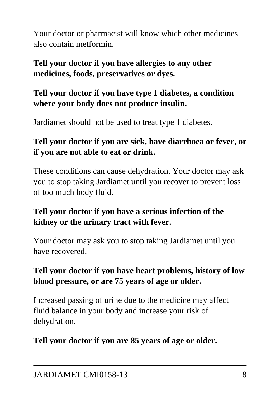Your doctor or pharmacist will know which other medicines also contain metformin.

#### **Tell your doctor if you have allergies to any other medicines, foods, preservatives or dyes.**

#### **Tell your doctor if you have type 1 diabetes, a condition where your body does not produce insulin.**

Jardiamet should not be used to treat type 1 diabetes.

#### **Tell your doctor if you are sick, have diarrhoea or fever, or if you are not able to eat or drink.**

These conditions can cause dehydration. Your doctor may ask you to stop taking Jardiamet until you recover to prevent loss of too much body fluid.

#### **Tell your doctor if you have a serious infection of the kidney or the urinary tract with fever.**

Your doctor may ask you to stop taking Jardiamet until you have recovered.

#### **Tell your doctor if you have heart problems, history of low blood pressure, or are 75 years of age or older.**

Increased passing of urine due to the medicine may affect fluid balance in your body and increase your risk of dehydration.

#### **Tell your doctor if you are 85 years of age or older.**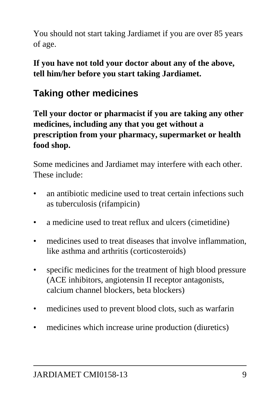You should not start taking Jardiamet if you are over 85 years of age.

**If you have not told your doctor about any of the above, tell him/her before you start taking Jardiamet.**

## **Taking other medicines**

**Tell your doctor or pharmacist if you are taking any other medicines, including any that you get without a prescription from your pharmacy, supermarket or health food shop.**

Some medicines and Jardiamet may interfere with each other. These include:

- an antibiotic medicine used to treat certain infections such as tuberculosis (rifampicin)
- a medicine used to treat reflux and ulcers (cimetidine)
- medicines used to treat diseases that involve inflammation, like asthma and arthritis (corticosteroids)
- specific medicines for the treatment of high blood pressure (ACE inhibitors, angiotensin II receptor antagonists, calcium channel blockers, beta blockers)
- medicines used to prevent blood clots, such as warfarin
- medicines which increase urine production (diuretics)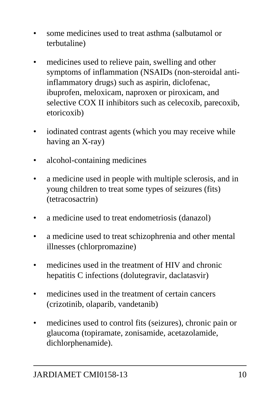- some medicines used to treat asthma (salbutamol or terbutaline)
- medicines used to relieve pain, swelling and other symptoms of inflammation (NSAIDs (non-steroidal antiinflammatory drugs) such as aspirin, diclofenac, ibuprofen, meloxicam, naproxen or piroxicam, and selective COX II inhibitors such as celecoxib, parecoxib, etoricoxib)
- iodinated contrast agents (which you may receive while having an X-ray)
- alcohol-containing medicines
- a medicine used in people with multiple sclerosis, and in young children to treat some types of seizures (fits) (tetracosactrin)
- a medicine used to treat endometriosis (danazol)
- a medicine used to treat schizophrenia and other mental illnesses (chlorpromazine)
- medicines used in the treatment of HIV and chronic hepatitis C infections (dolutegravir, daclatasvir)
- medicines used in the treatment of certain cancers (crizotinib, olaparib, vandetanib)
- medicines used to control fits (seizures), chronic pain or glaucoma (topiramate, zonisamide, acetazolamide, dichlorphenamide).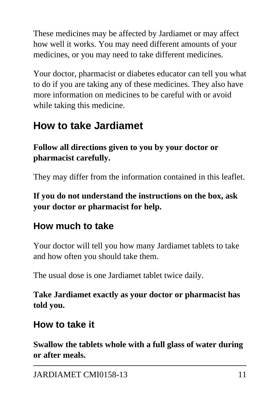These medicines may be affected by Jardiamet or may affect how well it works. You may need different amounts of your medicines, or you may need to take different medicines.

Your doctor, pharmacist or diabetes educator can tell you what to do if you are taking any of these medicines. They also have more information on medicines to be careful with or avoid while taking this medicine.

## **How to take Jardiamet**

**Follow all directions given to you by your doctor or pharmacist carefully.**

They may differ from the information contained in this leaflet.

**If you do not understand the instructions on the box, ask your doctor or pharmacist for help.**

## **How much to take**

Your doctor will tell you how many Jardiamet tablets to take and how often you should take them.

The usual dose is one Jardiamet tablet twice daily.

**Take Jardiamet exactly as your doctor or pharmacist has told you.**

## **How to take it**

**Swallow the tablets whole with a full glass of water during or after meals.**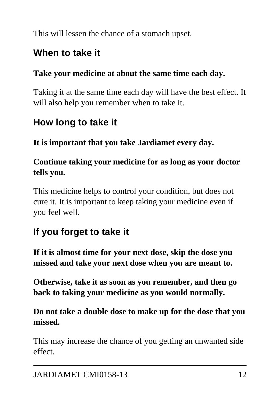This will lessen the chance of a stomach upset.

## **When to take it**

#### **Take your medicine at about the same time each day.**

Taking it at the same time each day will have the best effect. It will also help you remember when to take it.

## **How long to take it**

**It is important that you take Jardiamet every day.**

#### **Continue taking your medicine for as long as your doctor tells you.**

This medicine helps to control your condition, but does not cure it. It is important to keep taking your medicine even if you feel well.

## **If you forget to take it**

**If it is almost time for your next dose, skip the dose you missed and take your next dose when you are meant to.**

**Otherwise, take it as soon as you remember, and then go back to taking your medicine as you would normally.**

#### **Do not take a double dose to make up for the dose that you missed.**

This may increase the chance of you getting an unwanted side effect.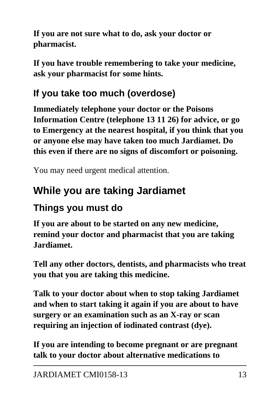**If you are not sure what to do, ask your doctor or pharmacist.**

**If you have trouble remembering to take your medicine, ask your pharmacist for some hints.**

# **If you take too much (overdose)**

**Immediately telephone your doctor or the Poisons Information Centre (telephone 13 11 26) for advice, or go to Emergency at the nearest hospital, if you think that you or anyone else may have taken too much Jardiamet. Do this even if there are no signs of discomfort or poisoning.**

You may need urgent medical attention.

# **While you are taking Jardiamet**

# **Things you must do**

**If you are about to be started on any new medicine, remind your doctor and pharmacist that you are taking Jardiamet.**

**Tell any other doctors, dentists, and pharmacists who treat you that you are taking this medicine.**

**Talk to your doctor about when to stop taking Jardiamet and when to start taking it again if you are about to have surgery or an examination such as an X-ray or scan requiring an injection of iodinated contrast (dye).**

**If you are intending to become pregnant or are pregnant talk to your doctor about alternative medications to**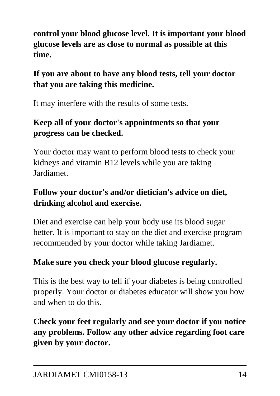**control your blood glucose level. It is important your blood glucose levels are as close to normal as possible at this time.**

#### **If you are about to have any blood tests, tell your doctor that you are taking this medicine.**

It may interfere with the results of some tests.

#### **Keep all of your doctor's appointments so that your progress can be checked.**

Your doctor may want to perform blood tests to check your kidneys and vitamin B12 levels while you are taking Jardiamet.

#### **Follow your doctor's and/or dietician's advice on diet, drinking alcohol and exercise.**

Diet and exercise can help your body use its blood sugar better. It is important to stay on the diet and exercise program recommended by your doctor while taking Jardiamet.

#### **Make sure you check your blood glucose regularly.**

This is the best way to tell if your diabetes is being controlled properly. Your doctor or diabetes educator will show you how and when to do this.

**Check your feet regularly and see your doctor if you notice any problems. Follow any other advice regarding foot care given by your doctor.**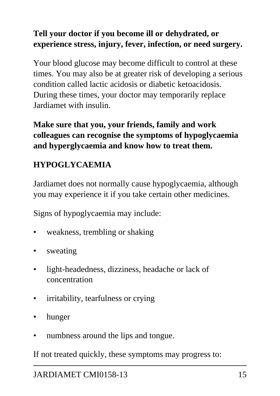#### **Tell your doctor if you become ill or dehydrated, or experience stress, injury, fever, infection, or need surgery.**

Your blood glucose may become difficult to control at these times. You may also be at greater risk of developing a serious condition called lactic acidosis or diabetic ketoacidosis. During these times, your doctor may temporarily replace Jardiamet with insulin.

**Make sure that you, your friends, family and work colleagues can recognise the symptoms of hypoglycaemia and hyperglycaemia and know how to treat them.**

#### **HYPOGLYCAEMIA**

Jardiamet does not normally cause hypoglycaemia, although you may experience it if you take certain other medicines.

Signs of hypoglycaemia may include:

- weakness, trembling or shaking
- sweating
- light-headedness, dizziness, headache or lack of concentration
- irritability, tearfulness or crying
- hunger
- numbness around the lips and tongue.

If not treated quickly, these symptoms may progress to: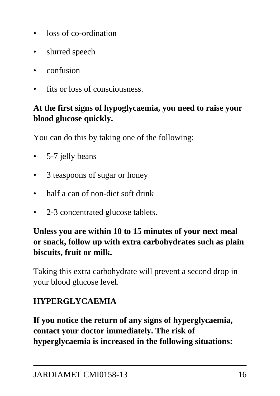- loss of co-ordination
- slurred speech
- confusion
- fits or loss of consciousness.

#### **At the first signs of hypoglycaemia, you need to raise your blood glucose quickly.**

You can do this by taking one of the following:

- 5-7 jelly beans
- 3 teaspoons of sugar or honey
- half a can of non-diet soft drink
- 2-3 concentrated glucose tablets.

#### **Unless you are within 10 to 15 minutes of your next meal or snack, follow up with extra carbohydrates such as plain biscuits, fruit or milk.**

Taking this extra carbohydrate will prevent a second drop in your blood glucose level.

#### **HYPERGLYCAEMIA**

**If you notice the return of any signs of hyperglycaemia, contact your doctor immediately. The risk of hyperglycaemia is increased in the following situations:**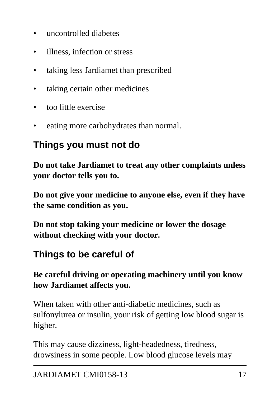- uncontrolled diabetes
- illness, infection or stress
- taking less Jardiamet than prescribed
- taking certain other medicines
- too little exercise
- eating more carbohydrates than normal.

### **Things you must not do**

**Do not take Jardiamet to treat any other complaints unless your doctor tells you to.**

**Do not give your medicine to anyone else, even if they have the same condition as you.**

**Do not stop taking your medicine or lower the dosage without checking with your doctor.**

## **Things to be careful of**

**Be careful driving or operating machinery until you know how Jardiamet affects you.**

When taken with other anti-diabetic medicines, such as sulfonylurea or insulin, your risk of getting low blood sugar is higher.

This may cause dizziness, light-headedness, tiredness, drowsiness in some people. Low blood glucose levels may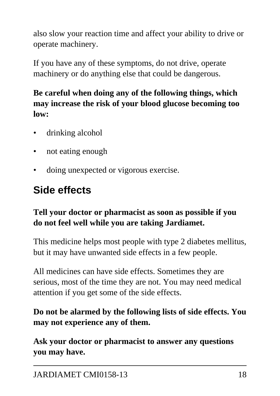also slow your reaction time and affect your ability to drive or operate machinery.

If you have any of these symptoms, do not drive, operate machinery or do anything else that could be dangerous.

#### **Be careful when doing any of the following things, which may increase the risk of your blood glucose becoming too low:**

- drinking alcohol
- not eating enough
- doing unexpected or vigorous exercise.

# **Side effects**

#### **Tell your doctor or pharmacist as soon as possible if you do not feel well while you are taking Jardiamet.**

This medicine helps most people with type 2 diabetes mellitus, but it may have unwanted side effects in a few people.

All medicines can have side effects. Sometimes they are serious, most of the time they are not. You may need medical attention if you get some of the side effects.

#### **Do not be alarmed by the following lists of side effects. You may not experience any of them.**

**Ask your doctor or pharmacist to answer any questions you may have.**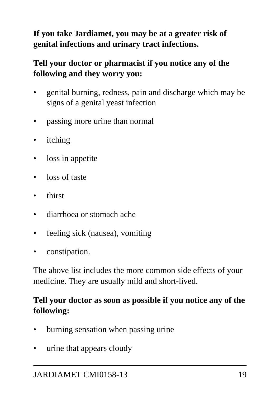#### **If you take Jardiamet, you may be at a greater risk of genital infections and urinary tract infections.**

#### **Tell your doctor or pharmacist if you notice any of the following and they worry you:**

- genital burning, redness, pain and discharge which may be signs of a genital yeast infection
- passing more urine than normal
- itching
- loss in appetite
- loss of taste
- thirst
- diarrhoea or stomach ache
- feeling sick (nausea), vomiting
- constipation.

The above list includes the more common side effects of your medicine. They are usually mild and short-lived.

#### **Tell your doctor as soon as possible if you notice any of the following:**

- burning sensation when passing urine
- urine that appears cloudy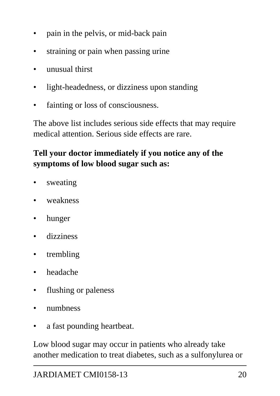- pain in the pelvis, or mid-back pain
- straining or pain when passing urine
- unusual thirst
- light-headedness, or dizziness upon standing
- fainting or loss of consciousness.

The above list includes serious side effects that may require medical attention. Serious side effects are rare.

#### **Tell your doctor immediately if you notice any of the symptoms of low blood sugar such as:**

- sweating
- weakness
- hunger
- dizziness
- trembling
- headache
- flushing or paleness
- numbness
- a fast pounding heartbeat.

Low blood sugar may occur in patients who already take another medication to treat diabetes, such as a sulfonylurea or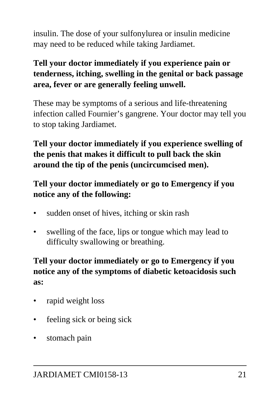insulin. The dose of your sulfonylurea or insulin medicine may need to be reduced while taking Jardiamet.

#### **Tell your doctor immediately if you experience pain or tenderness, itching, swelling in the genital or back passage area, fever or are generally feeling unwell.**

These may be symptoms of a serious and life-threatening infection called Fournier's gangrene. Your doctor may tell you to stop taking Jardiamet.

**Tell your doctor immediately if you experience swelling of the penis that makes it difficult to pull back the skin around the tip of the penis (uncircumcised men).**

#### **Tell your doctor immediately or go to Emergency if you notice any of the following:**

- sudden onset of hives, itching or skin rash
- swelling of the face, lips or tongue which may lead to difficulty swallowing or breathing.

**Tell your doctor immediately or go to Emergency if you notice any of the symptoms of diabetic ketoacidosis such as:**

- rapid weight loss
- feeling sick or being sick
- stomach pain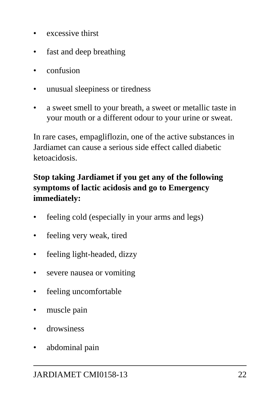- excessive thirst
- fast and deep breathing
- confusion
- unusual sleepiness or tiredness
- a sweet smell to your breath, a sweet or metallic taste in your mouth or a different odour to your urine or sweat.

In rare cases, empagliflozin, one of the active substances in Jardiamet can cause a serious side effect called diabetic ketoacidosis.

#### **Stop taking Jardiamet if you get any of the following symptoms of lactic acidosis and go to Emergency immediately:**

- feeling cold (especially in your arms and legs)
- feeling very weak, tired
- feeling light-headed, dizzy
- severe nausea or vomiting
- feeling uncomfortable
- muscle pain
- drowsiness
- abdominal pain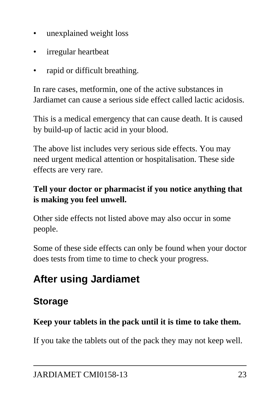- unexplained weight loss
- irregular heartbeat
- rapid or difficult breathing.

In rare cases, metformin, one of the active substances in Jardiamet can cause a serious side effect called lactic acidosis.

This is a medical emergency that can cause death. It is caused by build-up of lactic acid in your blood.

The above list includes very serious side effects. You may need urgent medical attention or hospitalisation. These side effects are very rare.

#### **Tell your doctor or pharmacist if you notice anything that is making you feel unwell.**

Other side effects not listed above may also occur in some people.

Some of these side effects can only be found when your doctor does tests from time to time to check your progress.

# **After using Jardiamet**

## **Storage**

#### **Keep your tablets in the pack until it is time to take them.**

If you take the tablets out of the pack they may not keep well.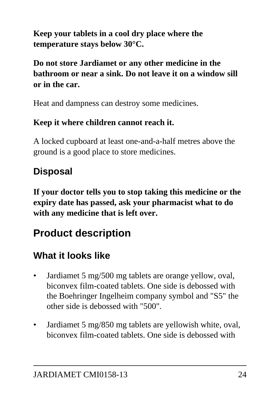**Keep your tablets in a cool dry place where the temperature stays below 30°C.**

**Do not store Jardiamet or any other medicine in the bathroom or near a sink. Do not leave it on a window sill or in the car.**

Heat and dampness can destroy some medicines.

#### **Keep it where children cannot reach it.**

A locked cupboard at least one-and-a-half metres above the ground is a good place to store medicines.

## **Disposal**

**If your doctor tells you to stop taking this medicine or the expiry date has passed, ask your pharmacist what to do with any medicine that is left over.**

# **Product description**

## **What it looks like**

- Jardiamet 5 mg/500 mg tablets are orange yellow, oval, biconvex film-coated tablets. One side is debossed with the Boehringer Ingelheim company symbol and "S5" the other side is debossed with "500".
- Jardiamet 5 mg/850 mg tablets are yellowish white, oval, biconvex film-coated tablets. One side is debossed with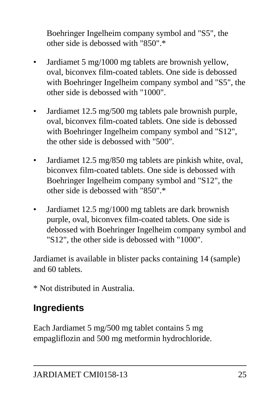Boehringer Ingelheim company symbol and "S5", the other side is debossed with "850".\*

- Jardiamet 5 mg/1000 mg tablets are brownish yellow, oval, biconvex film-coated tablets. One side is debossed with Boehringer Ingelheim company symbol and "S5", the other side is debossed with "1000".
- Jardiamet 12.5 mg/500 mg tablets pale brownish purple, oval, biconvex film-coated tablets. One side is debossed with Boehringer Ingelheim company symbol and "S12", the other side is debossed with "500".
- Jardiamet 12.5 mg/850 mg tablets are pinkish white, oval, biconvex film-coated tablets. One side is debossed with Boehringer Ingelheim company symbol and "S12", the other side is debossed with "850".\*
- Jardiamet 12.5 mg/1000 mg tablets are dark brownish purple, oval, biconvex film-coated tablets. One side is debossed with Boehringer Ingelheim company symbol and "S12", the other side is debossed with "1000".

Jardiamet is available in blister packs containing 14 (sample) and 60 tablets.

\* Not distributed in Australia.

## **Ingredients**

Each Jardiamet 5 mg/500 mg tablet contains 5 mg empagliflozin and 500 mg metformin hydrochloride.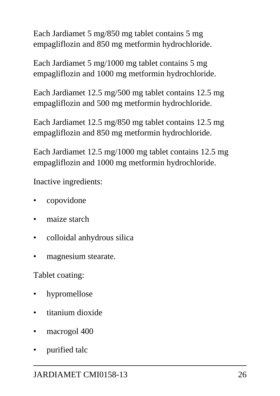Each Jardiamet 5 mg/850 mg tablet contains 5 mg empagliflozin and 850 mg metformin hydrochloride.

Each Jardiamet 5 mg/1000 mg tablet contains 5 mg empagliflozin and 1000 mg metformin hydrochloride.

Each Jardiamet 12.5 mg/500 mg tablet contains 12.5 mg empagliflozin and 500 mg metformin hydrochloride.

Each Jardiamet 12.5 mg/850 mg tablet contains 12.5 mg empagliflozin and 850 mg metformin hydrochloride.

Each Jardiamet 12.5 mg/1000 mg tablet contains 12.5 mg empagliflozin and 1000 mg metformin hydrochloride.

Inactive ingredients:

- copovidone
- maize starch
- colloidal anhydrous silica
- magnesium stearate.

Tablet coating:

- hypromellose
- titanium dioxide
- macrogol 400
- purified talc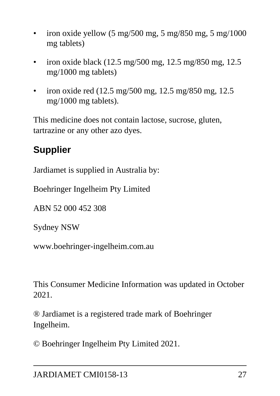- iron oxide yellow  $(5 \text{ mg}/500 \text{ mg}, 5 \text{ mg}/850 \text{ mg}, 5 \text{ mg}/1000)$ mg tablets)
- iron oxide black (12.5 mg/500 mg, 12.5 mg/850 mg, 12.5 mg/1000 mg tablets)
- iron oxide red (12.5 mg/500 mg, 12.5 mg/850 mg, 12.5 mg/1000 mg tablets).

This medicine does not contain lactose, sucrose, gluten, tartrazine or any other azo dyes.

## **Supplier**

Jardiamet is supplied in Australia by:

Boehringer Ingelheim Pty Limited

ABN 52 000 452 308

Sydney NSW

www.boehringer-ingelheim.com.au

This Consumer Medicine Information was updated in October 2021.

® Jardiamet is a registered trade mark of Boehringer Ingelheim.

© Boehringer Ingelheim Pty Limited 2021.